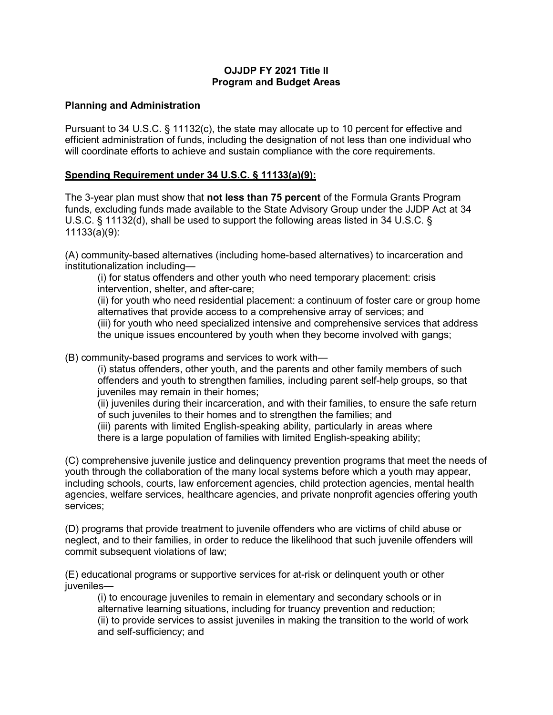## **OJJDP FY 2021 Title II Program and Budget Areas**

## **Planning and Administration**

Pursuant to 34 U.S.C. § 11132(c), the state may allocate up to 10 percent for effective and efficient administration of funds, including the designation of not less than one individual who will coordinate efforts to achieve and sustain compliance with the core requirements.

## **Spending Requirement under 34 U.S.C. § 11133(a)(9):**

The 3-year plan must show that **not less than 75 percent** of the Formula Grants Program funds, excluding funds made available to the State Advisory Group under the JJDP Act at 34 U.S.C. § 11132(d), shall be used to support the following areas listed in 34 U.S.C. § 11133(a)(9):

(A) community-based alternatives (including home-based alternatives) to incarceration and institutionalization including—

(i) for status offenders and other youth who need temporary placement: crisis intervention, shelter, and after-care;

(ii) for youth who need residential placement: a continuum of foster care or group home alternatives that provide access to a comprehensive array of services; and (iii) for youth who need specialized intensive and comprehensive services that address the unique issues encountered by youth when they become involved with gangs;

(B) community-based programs and services to work with—

(i) status offenders, other youth, and the parents and other family members of such offenders and youth to strengthen families, including parent self-help groups, so that juveniles may remain in their homes;

(ii) juveniles during their incarceration, and with their families, to ensure the safe return of such juveniles to their homes and to strengthen the families; and

(iii) parents with limited English-speaking ability, particularly in areas where there is a large population of families with limited English-speaking ability;

(C) comprehensive juvenile justice and delinquency prevention programs that meet the needs of youth through the collaboration of the many local systems before which a youth may appear, including schools, courts, law enforcement agencies, child protection agencies, mental health agencies, welfare services, healthcare agencies, and private nonprofit agencies offering youth services;

(D) programs that provide treatment to juvenile offenders who are victims of child abuse or neglect, and to their families, in order to reduce the likelihood that such juvenile offenders will commit subsequent violations of law;

(E) educational programs or supportive services for at-risk or delinquent youth or other juveniles—

(i) to encourage juveniles to remain in elementary and secondary schools or in alternative learning situations, including for truancy prevention and reduction; (ii) to provide services to assist juveniles in making the transition to the world of work and self-sufficiency; and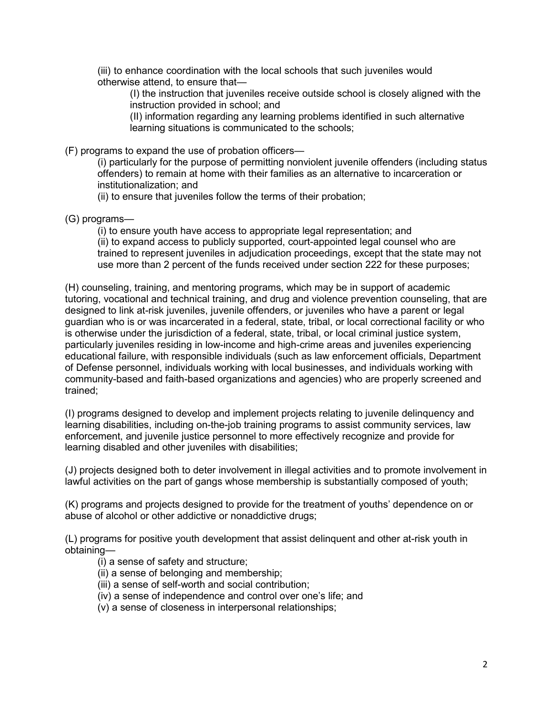(iii) to enhance coordination with the local schools that such juveniles would otherwise attend, to ensure that—

(I) the instruction that juveniles receive outside school is closely aligned with the instruction provided in school; and

(II) information regarding any learning problems identified in such alternative learning situations is communicated to the schools;

(F) programs to expand the use of probation officers—

(i) particularly for the purpose of permitting nonviolent juvenile offenders (including status offenders) to remain at home with their families as an alternative to incarceration or institutionalization; and

(ii) to ensure that juveniles follow the terms of their probation;

(G) programs—

(i) to ensure youth have access to appropriate legal representation; and (ii) to expand access to publicly supported, court-appointed legal counsel who are trained to represent juveniles in adjudication proceedings, except that the state may not use more than 2 percent of the funds received under section 222 for these purposes;

(H) counseling, training, and mentoring programs, which may be in support of academic tutoring, vocational and technical training, and drug and violence prevention counseling, that are designed to link at-risk juveniles, juvenile offenders, or juveniles who have a parent or legal guardian who is or was incarcerated in a federal, state, tribal, or local correctional facility or who is otherwise under the jurisdiction of a federal, state, tribal, or local criminal justice system, particularly juveniles residing in low-income and high-crime areas and juveniles experiencing educational failure, with responsible individuals (such as law enforcement officials, Department of Defense personnel, individuals working with local businesses, and individuals working with community-based and faith-based organizations and agencies) who are properly screened and trained;

(I) programs designed to develop and implement projects relating to juvenile delinquency and learning disabilities, including on-the-job training programs to assist community services, law enforcement, and juvenile justice personnel to more effectively recognize and provide for learning disabled and other juveniles with disabilities;

(J) projects designed both to deter involvement in illegal activities and to promote involvement in lawful activities on the part of gangs whose membership is substantially composed of youth;

(K) programs and projects designed to provide for the treatment of youths' dependence on or abuse of alcohol or other addictive or nonaddictive drugs;

(L) programs for positive youth development that assist delinquent and other at-risk youth in obtaining—

- (i) a sense of safety and structure;
- (ii) a sense of belonging and membership;
- (iii) a sense of self-worth and social contribution;
- (iv) a sense of independence and control over one's life; and
- (v) a sense of closeness in interpersonal relationships;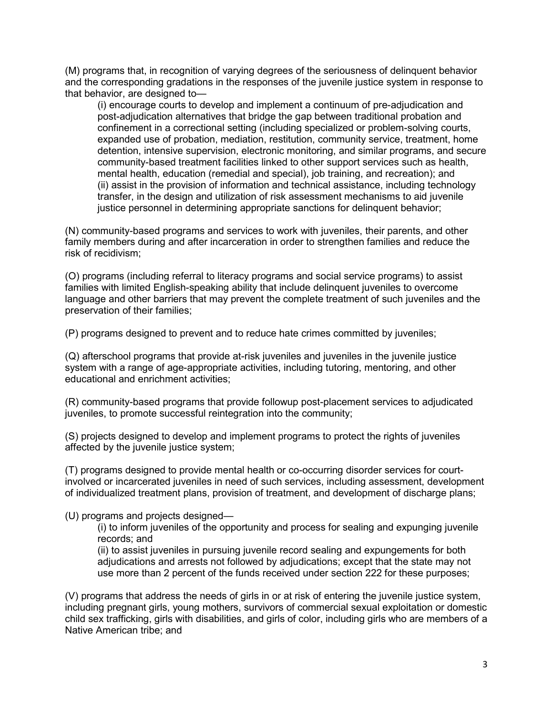(M) programs that, in recognition of varying degrees of the seriousness of delinquent behavior and the corresponding gradations in the responses of the juvenile justice system in response to that behavior, are designed to—

(i) encourage courts to develop and implement a continuum of pre-adjudication and post-adjudication alternatives that bridge the gap between traditional probation and confinement in a correctional setting (including specialized or problem-solving courts, expanded use of probation, mediation, restitution, community service, treatment, home detention, intensive supervision, electronic monitoring, and similar programs, and secure community-based treatment facilities linked to other support services such as health, mental health, education (remedial and special), job training, and recreation); and (ii) assist in the provision of information and technical assistance, including technology transfer, in the design and utilization of risk assessment mechanisms to aid juvenile justice personnel in determining appropriate sanctions for delinquent behavior;

(N) community-based programs and services to work with juveniles, their parents, and other family members during and after incarceration in order to strengthen families and reduce the risk of recidivism;

(O) programs (including referral to literacy programs and social service programs) to assist families with limited English-speaking ability that include delinquent juveniles to overcome language and other barriers that may prevent the complete treatment of such juveniles and the preservation of their families;

(P) programs designed to prevent and to reduce hate crimes committed by juveniles;

(Q) afterschool programs that provide at-risk juveniles and juveniles in the juvenile justice system with a range of age-appropriate activities, including tutoring, mentoring, and other educational and enrichment activities;

(R) community-based programs that provide followup post-placement services to adjudicated juveniles, to promote successful reintegration into the community;

(S) projects designed to develop and implement programs to protect the rights of juveniles affected by the juvenile justice system;

(T) programs designed to provide mental health or co-occurring disorder services for courtinvolved or incarcerated juveniles in need of such services, including assessment, development of individualized treatment plans, provision of treatment, and development of discharge plans;

(U) programs and projects designed—

(i) to inform juveniles of the opportunity and process for sealing and expunging juvenile records; and

(ii) to assist juveniles in pursuing juvenile record sealing and expungements for both adjudications and arrests not followed by adjudications; except that the state may not use more than 2 percent of the funds received under section 222 for these purposes;

(V) programs that address the needs of girls in or at risk of entering the juvenile justice system, including pregnant girls, young mothers, survivors of commercial sexual exploitation or domestic child sex trafficking, girls with disabilities, and girls of color, including girls who are members of a Native American tribe; and